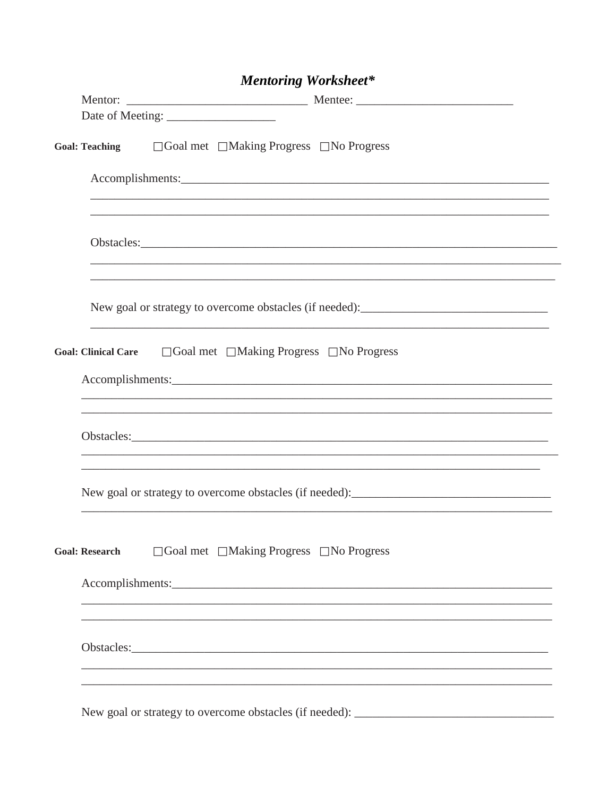| <b>Mentoring Worksheet*</b>                                                        |  |
|------------------------------------------------------------------------------------|--|
|                                                                                    |  |
|                                                                                    |  |
| Goal: Teaching □ Goal met □ Making Progress □ No Progress                          |  |
| Accomplishments:                                                                   |  |
|                                                                                    |  |
| New goal or strategy to overcome obstacles (if needed): _________________________  |  |
| Goal: Clinical Care □ Goal met □ Making Progress □ No Progress                     |  |
| ,我们也不能在这里的时候,我们也不能在这里的时候,我们也不能不能不能不能不能不能不能不能不能不能不能不能不能不能不能。""我们不能不能不能不能不能不能不能不能不能  |  |
|                                                                                    |  |
| $\Box$ Goal met $\Box$ Making Progress $\Box$ No Progress<br><b>Goal: Research</b> |  |
|                                                                                    |  |
|                                                                                    |  |
| Now good on strategy to exame $\alpha$ obstacles (if needed).                      |  |

## *Montoning Workshoots*

New goal or strategy to overcome obstacles (if needed): \_\_\_\_\_\_\_\_\_\_\_\_\_\_\_\_\_\_\_\_\_\_\_\_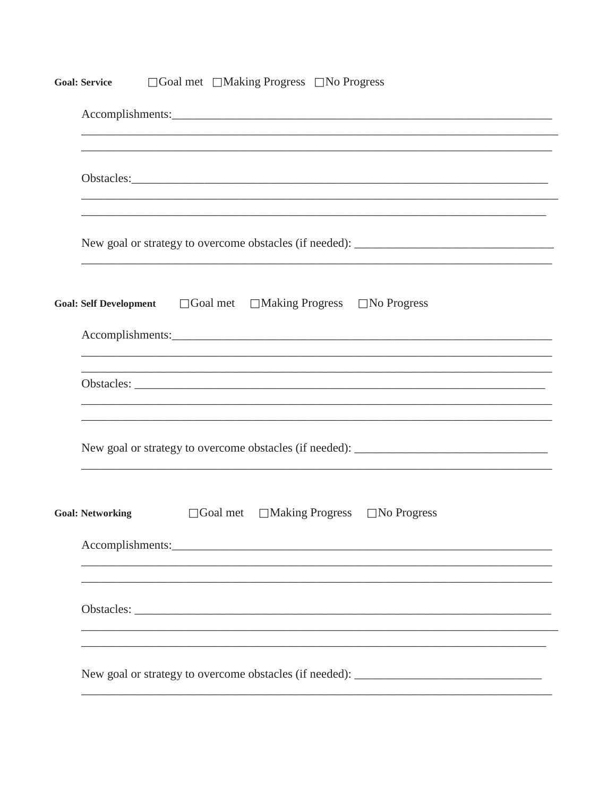| $\Box$ Goal met $\Box$ Making Progress $\Box$ No Progress<br><b>Goal: Service</b>          |  |  |  |  |
|--------------------------------------------------------------------------------------------|--|--|--|--|
|                                                                                            |  |  |  |  |
|                                                                                            |  |  |  |  |
|                                                                                            |  |  |  |  |
| $\Box$ Goal met $\Box$ Making Progress $\Box$ No Progress<br><b>Goal: Self Development</b> |  |  |  |  |
|                                                                                            |  |  |  |  |
| ,我们也不能在这里的人,我们也不能在这里的人,我们也不能在这里的人,我们也不能在这里的人,我们也不能在这里的人,我们也不能在这里的人,我们也不能在这里的人,我们也          |  |  |  |  |
|                                                                                            |  |  |  |  |
| $\Box$ Making Progress $\Box$ No Progress<br>$\Box$ Goal met<br><b>Goal: Networking</b>    |  |  |  |  |
|                                                                                            |  |  |  |  |
|                                                                                            |  |  |  |  |
| New goal or strategy to overcome obstacles (if needed): _________________________          |  |  |  |  |